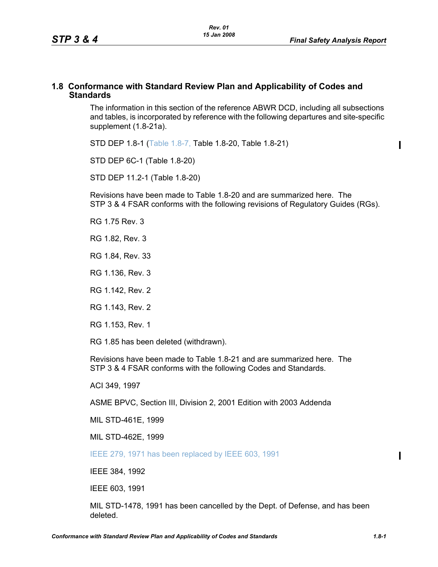$\blacksquare$ 

#### **1.8 Conformance with Standard Review Plan and Applicability of Codes and Standards**

The information in this section of the reference ABWR DCD, including all subsections and tables, is incorporated by reference with the following departures and site-specific supplement [\(1.8-21a\)](#page-4-0).

STD DEP 1.8-1 (Table 1.8-7, Table [1.8-20,](#page-2-0) Table [1.8-21\)](#page-3-0)

STD DEP 6C-1 (Table [1.8-20\)](#page-2-0)

STD DEP 11.2-1 (Table [1.8-20](#page-2-0))

Revisions have been made to Table [1.8-20](#page-2-0) and are summarized here. The STP 3 & 4 FSAR conforms with the following revisions of Regulatory Guides (RGs).

RG 1.75 Rev. 3

RG 1.82, Rev. 3

RG 1.84, Rev. 33

RG 1.136, Rev. 3

RG 1.142, Rev. 2

RG 1.143, Rev. 2

RG 1.153, Rev. 1

RG 1.85 has been deleted (withdrawn).

Revisions have been made to Table [1.8-21](#page-3-0) and are summarized here. The STP 3 & 4 FSAR conforms with the following Codes and Standards.

ACI 349, 1997

ASME BPVC, Section III, Division 2, 2001 Edition with 2003 Addenda

MIL STD-461E, 1999

MIL STD-462E, 1999

IEEE 279, 1971 has been replaced by IEEE 603, 1991

IEEE 384, 1992

IEEE 603, 1991

MIL STD-1478, 1991 has been cancelled by the Dept. of Defense, and has been deleted.

 $\mathbf I$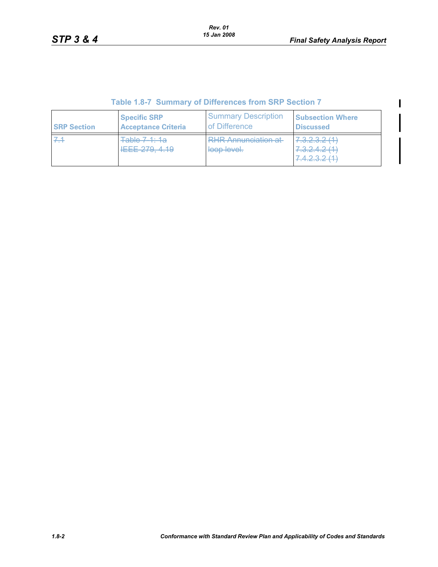$\mathbf{I}$ 

 $\mathbf I$ 

## **Table 1.8-7 Summary of Differences from SRP Section 7**

| <b>SRP Section</b> | <b>Specific SRP</b>        | <b>Summary Description</b>                | <b>Subsection Where</b>                     |
|--------------------|----------------------------|-------------------------------------------|---------------------------------------------|
|                    | <b>Acceptance Criteria</b> | of Difference                             | <b>Discussed</b>                            |
|                    | Table 7-1: 1a              | <b>RHR Annunciation at</b><br>loop level. | -------<br><b>Brandfield Avenue Company</b> |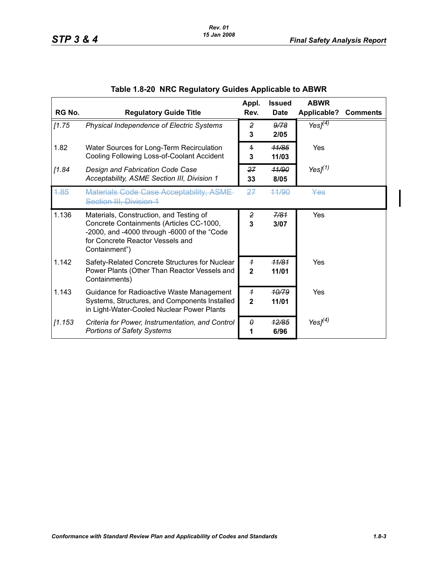<span id="page-2-0"></span>

| RG No.  | <b>Regulatory Guide Title</b>                                                                                                                                                           | Appl.<br>Rev.                  | <b>Issued</b><br><b>Date</b> | <b>ABWR</b><br>Applicable? | <b>Comments</b> |
|---------|-----------------------------------------------------------------------------------------------------------------------------------------------------------------------------------------|--------------------------------|------------------------------|----------------------------|-----------------|
| [1.75]  | Physical Independence of Electric Systems                                                                                                                                               | 2<br>3                         | 9/78<br>2/05                 | Yes $J(4)$                 |                 |
| 1.82    | Water Sources for Long-Term Recirculation<br>Cooling Following Loss-of-Coolant Accident                                                                                                 | $\overline{1}$<br>3            | <del>11/85</del><br>11/03    | Yes                        |                 |
| [1.84]  | Design and Fabrication Code Case<br>Acceptability, ASME Section III, Division 1                                                                                                         | 27<br>33                       | 11/90<br>8/05                | Yes $J(1)$                 |                 |
| 4.85    | <b>Materials Code Case Acceptability, ASME-</b><br><b>Section III, Division 1</b>                                                                                                       | <del>27</del>                  | 44/90                        | Yes                        |                 |
| 1.136   | Materials, Construction, and Testing of<br>Concrete Containments (Articles CC-1000,<br>-2000, and -4000 through -6000 of the "Code<br>for Concrete Reactor Vessels and<br>Containment") | 2<br>3                         | 7/81<br>3/07                 | <b>Yes</b>                 |                 |
| 1.142   | Safety-Related Concrete Structures for Nuclear<br>Power Plants (Other Than Reactor Vessels and<br>Containments)                                                                         | $\overline{1}$<br>$\mathbf{2}$ | <del>11/81</del><br>11/01    | Yes                        |                 |
| 1.143   | Guidance for Radioactive Waste Management<br>Systems, Structures, and Components Installed<br>in Light-Water-Cooled Nuclear Power Plants                                                | $\overline{1}$<br>$\mathbf{2}$ | 10/79<br>11/01               | Yes                        |                 |
| [1.153] | Criteria for Power, Instrumentation, and Control<br><b>Portions of Safety Systems</b>                                                                                                   | θ<br>1                         | 12/85<br>6/96                | Yes $I(4)$                 |                 |

# **Table 1.8-20 NRC Regulatory Guides Applicable to ABWR**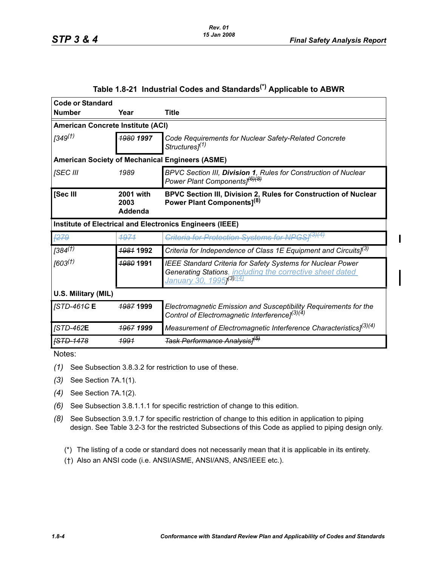<span id="page-3-0"></span>

| <b>Code or Standard</b>                                  |                                          |                                                                                                                                                                    |  |  |  |
|----------------------------------------------------------|------------------------------------------|--------------------------------------------------------------------------------------------------------------------------------------------------------------------|--|--|--|
| <b>Number</b>                                            | Year                                     | <b>Title</b>                                                                                                                                                       |  |  |  |
|                                                          | <b>American Concrete Institute (ACI)</b> |                                                                                                                                                                    |  |  |  |
| $(349^{(1)}$                                             | 1980 1997                                | Code Requirements for Nuclear Safety-Related Concrete<br>Structures] <sup>(1)</sup>                                                                                |  |  |  |
| <b>American Society of Mechanical Engineers (ASME)</b>   |                                          |                                                                                                                                                                    |  |  |  |
| [SEC III                                                 | 1989                                     | BPVC Section III, Division 1, Rules for Construction of Nuclear<br>Power Plant Components] <sup>(6)(8)</sup>                                                       |  |  |  |
| [Sec III                                                 | <b>2001 with</b><br>2003<br>Addenda      | BPVC Section III, Division 2, Rules for Construction of Nuclear<br>Power Plant Components <sup>[8]</sup>                                                           |  |  |  |
| Institute of Electrical and Electronics Engineers (IEEE) |                                          |                                                                                                                                                                    |  |  |  |
| <b>F279</b>                                              | 1971                                     | Criteria for Protection Systems for NPGSI <sup>(3)(4)</sup>                                                                                                        |  |  |  |
| $[384^{(1)}]$                                            | 1981 1992                                | Criteria for Independence of Class 1E Equipment and Circuits] <sup>(3)</sup>                                                                                       |  |  |  |
| (603 <sup>(†)</sup> )                                    | <b>1980 1991</b>                         | <b>IEEE Standard Criteria for Safety Systems for Nuclear Power</b><br>Generating Stations, including the corrective sheet dated<br><u>January 30, 1995 (3) (4)</u> |  |  |  |
| U.S. Military (MIL)                                      |                                          |                                                                                                                                                                    |  |  |  |
| $ISTD-461G E$                                            | <del>1987</del> 1999                     | Electromagnetic Emission and Susceptibility Requirements for the<br>Control of Electromagnetic Interference] <sup>(3)(4)</sup>                                     |  |  |  |
| <b>JSTD-462E</b>                                         | <b>1967 1999</b>                         | Measurement of Electromagnetic Interference Characteristics] <sup>(3)(4)</sup>                                                                                     |  |  |  |
| <b>[STD-1478</b>                                         | <u> 1991</u>                             | <del>Task Performance Analysis]<sup>(b)</sup></del>                                                                                                                |  |  |  |

## **Table 1.8-21 Industrial Codes and Standards(\*) Applicable to ABWR**

Notes:

- *(1)* See Subsection 3.8.3.2 for restriction to use of these.
- *(3)* See Section 7A.1(1).
- *(4)* See Section 7A.1(2).
- *(6)* See Subsection 3.8.1.1.1 for specific restriction of change to this edition.
- *(8)* See Subsection 3.9.1.7 for specific restriction of change to this edition in application to piping design. See Table 3.2-3 for the restricted Subsections of this Code as applied to piping design only.
	- (\*) The listing of a code or standard does not necessarily mean that it is applicable in its entirety.
	- (†) Also an ANSI code (i.e. ANSI/ASME, ANSI/ANS, ANS/IEEE etc.).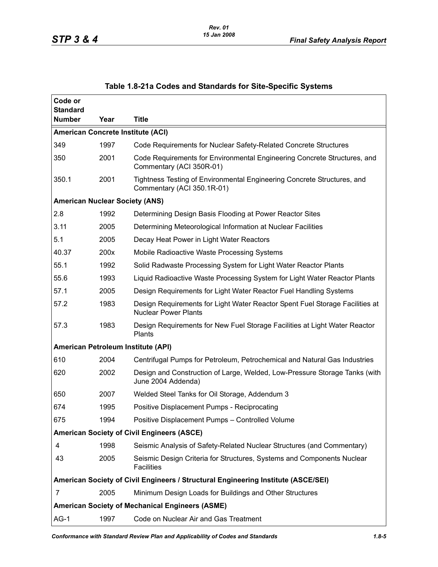<span id="page-4-0"></span>

| Code or                                                |      |                                                                                                             |  |  |
|--------------------------------------------------------|------|-------------------------------------------------------------------------------------------------------------|--|--|
| <b>Standard</b><br><b>Number</b>                       | Year | <b>Title</b>                                                                                                |  |  |
|                                                        |      | <b>American Concrete Institute (ACI)</b>                                                                    |  |  |
| 349                                                    | 1997 | Code Requirements for Nuclear Safety-Related Concrete Structures                                            |  |  |
| 350                                                    | 2001 | Code Requirements for Environmental Engineering Concrete Structures, and<br>Commentary (ACI 350R-01)        |  |  |
| 350.1                                                  | 2001 | Tightness Testing of Environmental Engineering Concrete Structures, and<br>Commentary (ACI 350.1R-01)       |  |  |
|                                                        |      | <b>American Nuclear Society (ANS)</b>                                                                       |  |  |
| 2.8                                                    | 1992 | Determining Design Basis Flooding at Power Reactor Sites                                                    |  |  |
| 3.11                                                   | 2005 | Determining Meteorological Information at Nuclear Facilities                                                |  |  |
| 5.1                                                    | 2005 | Decay Heat Power in Light Water Reactors                                                                    |  |  |
| 40.37                                                  | 200x | Mobile Radioactive Waste Processing Systems                                                                 |  |  |
| 55.1                                                   | 1992 | Solid Radwaste Processing System for Light Water Reactor Plants                                             |  |  |
| 55.6                                                   | 1993 | Liquid Radioactive Waste Processing System for Light Water Reactor Plants                                   |  |  |
| 57.1                                                   | 2005 | Design Requirements for Light Water Reactor Fuel Handling Systems                                           |  |  |
| 57.2                                                   | 1983 | Design Requirements for Light Water Reactor Spent Fuel Storage Facilities at<br><b>Nuclear Power Plants</b> |  |  |
| 57.3                                                   | 1983 | Design Requirements for New Fuel Storage Facilities at Light Water Reactor<br>Plants                        |  |  |
|                                                        |      | American Petroleum Institute (API)                                                                          |  |  |
| 610                                                    | 2004 | Centrifugal Pumps for Petroleum, Petrochemical and Natural Gas Industries                                   |  |  |
| 620                                                    | 2002 | Design and Construction of Large, Welded, Low-Pressure Storage Tanks (with<br>June 2004 Addenda)            |  |  |
| 650                                                    | 2007 | Welded Steel Tanks for Oil Storage, Addendum 3                                                              |  |  |
| 674                                                    | 1995 | Positive Displacement Pumps - Reciprocating                                                                 |  |  |
| 675                                                    | 1994 | Positive Displacement Pumps - Controlled Volume                                                             |  |  |
| <b>American Society of Civil Engineers (ASCE)</b>      |      |                                                                                                             |  |  |
| 4                                                      | 1998 | Seismic Analysis of Safety-Related Nuclear Structures (and Commentary)                                      |  |  |
| 43                                                     | 2005 | Seismic Design Criteria for Structures, Systems and Components Nuclear<br><b>Facilities</b>                 |  |  |
|                                                        |      | American Society of Civil Engineers / Structural Engineering Institute (ASCE/SEI)                           |  |  |
| $\overline{7}$                                         | 2005 | Minimum Design Loads for Buildings and Other Structures                                                     |  |  |
| <b>American Society of Mechanical Engineers (ASME)</b> |      |                                                                                                             |  |  |
| $AG-1$                                                 | 1997 | Code on Nuclear Air and Gas Treatment                                                                       |  |  |

#### **Table 1.8-21a Codes and Standards for Site-Specific Systems**